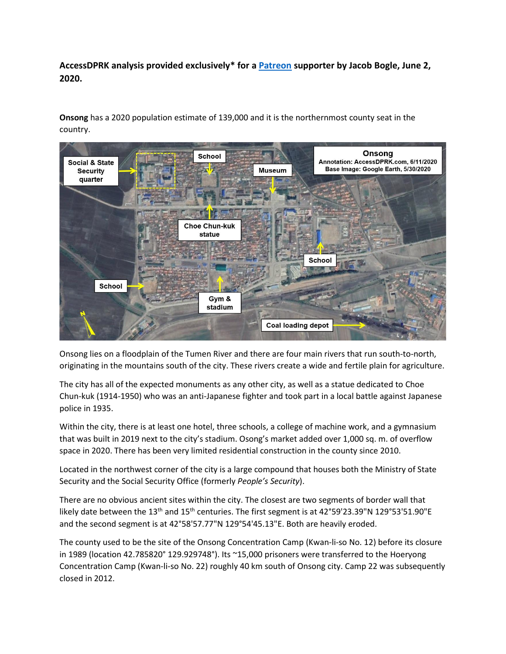**AccessDPRK analysis provided exclusively\* for a [Patreon](https://patreon.com/accessdprk) supporter by Jacob Bogle, June 2, 2020.**

**Onsong** has a 2020 population estimate of 139,000 and it is the northernmost county seat in the country.



Onsong lies on a floodplain of the Tumen River and there are four main rivers that run south-to-north, originating in the mountains south of the city. These rivers create a wide and fertile plain for agriculture.

The city has all of the expected monuments as any other city, as well as a statue dedicated to Choe Chun-kuk (1914-1950) who was an anti-Japanese fighter and took part in a local battle against Japanese police in 1935.

Within the city, there is at least one hotel, three schools, a college of machine work, and a gymnasium that was built in 2019 next to the city's stadium. Osong's market added over 1,000 sq. m. of overflow space in 2020. There has been very limited residential construction in the county since 2010.

Located in the northwest corner of the city is a large compound that houses both the Ministry of State Security and the Social Security Office (formerly *People's Security*).

There are no obvious ancient sites within the city. The closest are two segments of border wall that likely date between the  $13<sup>th</sup>$  and  $15<sup>th</sup>$  centuries. The first segment is at  $42°59'23.39''N$   $129°53'51.90''E$ and the second segment is at 42°58'57.77"N 129°54'45.13"E. Both are heavily eroded.

The county used to be the site of the Onsong Concentration Camp (Kwan-li-so No. 12) before its closure in 1989 (location 42.785820° 129.929748°). Its ~15,000 prisoners were transferred to the Hoeryong Concentration Camp (Kwan-li-so No. 22) roughly 40 km south of Onsong city. Camp 22 was subsequently closed in 2012.